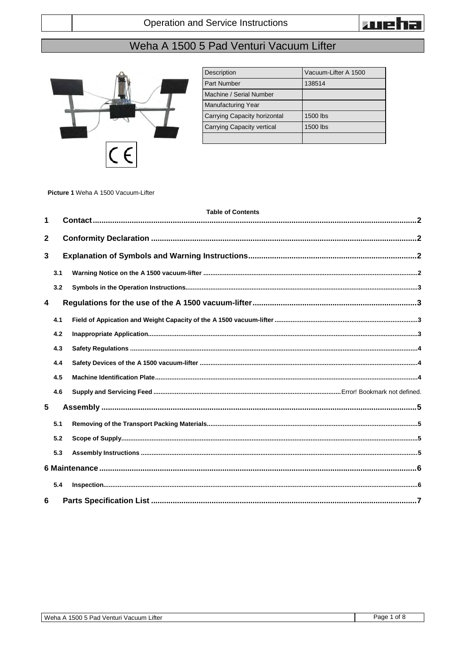

## Weha A 1500 5 Pad Venturi Vacuum Lifter



| Description                  | Vacuum-Lifter A 1500 |
|------------------------------|----------------------|
| <b>Part Number</b>           | 138514               |
| Machine / Serial Number      |                      |
| <b>Manufacturing Year</b>    |                      |
| Carrying Capacity horizontal | 1500 lbs             |
| Carrying Capacity vertical   | 1500 lbs             |
|                              |                      |

Picture 1 Weha A 1500 Vacuum-Lifter

|                 | <b>Table of Contents</b> |  |  |
|-----------------|--------------------------|--|--|
| 1               |                          |  |  |
| $\mathbf{2}$    |                          |  |  |
| 3               |                          |  |  |
|                 | 3.1                      |  |  |
|                 | 3.2                      |  |  |
| 4               |                          |  |  |
|                 | 4.1                      |  |  |
|                 | 4.2                      |  |  |
|                 | 4.3                      |  |  |
|                 | 4.4                      |  |  |
|                 | 4.5                      |  |  |
|                 | 4.6                      |  |  |
| $5\phantom{.0}$ |                          |  |  |
|                 | 5.1                      |  |  |
|                 | 5.2                      |  |  |
|                 | 5.3                      |  |  |
|                 |                          |  |  |
|                 | 5.4                      |  |  |
| 6               |                          |  |  |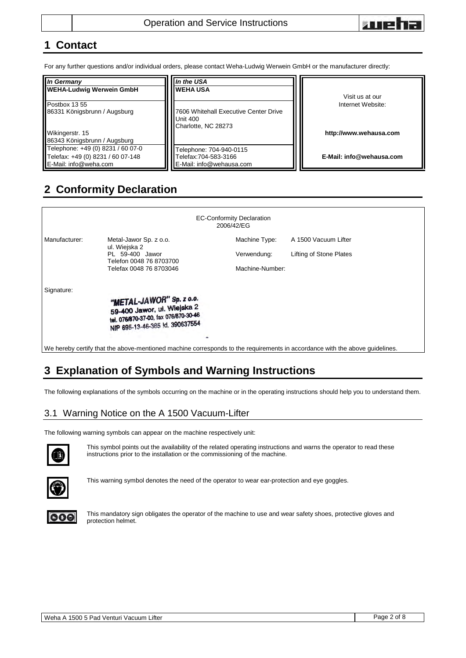

### <span id="page-1-0"></span>**1 Contact**

For any further questions and/or individual orders, please contact Weha-Ludwig Werwein GmbH or the manufacturer directly:

| <b>In Germany</b><br><b>WEHA-Ludwig Werwein GmbH</b>                                            | In the USA<br><b>WEHA USA</b>                                                   | Visit us at our          |
|-------------------------------------------------------------------------------------------------|---------------------------------------------------------------------------------|--------------------------|
| Postbox 13.55<br>86331 Königsbrunn / Augsburg                                                   | 7606 Whitehall Executive Center Drive<br><b>Unit 400</b><br>Charlotte, NC 28273 | Internet Website:        |
| Wikingerstr. 15<br>86343 Königsbrunn / Augsburg                                                 |                                                                                 | http://www.wehausa.com   |
| Telephone: +49 (0) 8231 / 60 07-0<br>Telefax: +49 (0) 8231 / 60 07-148<br>E-Mail: info@weha.com | Felephone: 704-940-0115<br>Felefax:704-583-3166<br>E-Mail: info@wehausa.com     | E-Mail: info@wehausa.com |

## <span id="page-1-1"></span>**2 Conformity Declaration**

| <b>EC-Conformity Declaration</b><br>2006/42/EG                                                                              |                                                                                                                                     |                 |                         |
|-----------------------------------------------------------------------------------------------------------------------------|-------------------------------------------------------------------------------------------------------------------------------------|-----------------|-------------------------|
| Manufacturer:                                                                                                               | Metal-Jawor Sp. z o.o.<br>ul. Wiejska 2                                                                                             | Machine Type:   | A 1500 Vacuum Lifter    |
|                                                                                                                             | PL 59-400 Jawor<br>Telefon 0048 76 8703700                                                                                          | Verwendung:     | Lifting of Stone Plates |
|                                                                                                                             | Telefax 0048 76 8703046                                                                                                             | Machine-Number: |                         |
| Signature:                                                                                                                  |                                                                                                                                     |                 |                         |
|                                                                                                                             | "METAL-JAWOR" Sp. z o.o.<br>59-400 Jawor, ul. Wiejska 2<br>tel. 076/870-37-00, fax 076/870-30-46<br>NIP 695-13-46-385 Id. 390637554 |                 |                         |
|                                                                                                                             |                                                                                                                                     |                 |                         |
| We hereby certify that the above-mentioned machine corresponds to the requirements in accordance with the above guidelines. |                                                                                                                                     |                 |                         |

# <span id="page-1-2"></span>**3 Explanation of Symbols and Warning Instructions**

The following explanations of the symbols occurring on the machine or in the operating instructions should help you to understand them.

### <span id="page-1-3"></span>3.1 Warning Notice on the A 1500 Vacuum-Lifter

The following warning symbols can appear on the machine respectively unit:



This symbol points out the availability of the related operating instructions and warns the operator to read these instructions prior to the installation or the commissioning of the machine.



This warning symbol denotes the need of the operator to wear ear-protection and eye goggles.



This mandatory sign obligates the operator of the machine to use and wear safety shoes, protective gloves and protection helmet.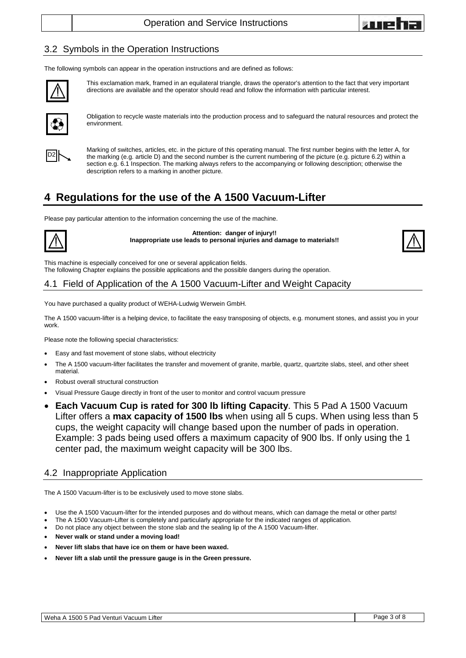

### <span id="page-2-0"></span>3.2 Symbols in the Operation Instructions

The following symbols can appear in the operation instructions and are defined as follows:



This exclamation mark, framed in an equilateral triangle, draws the operator's attention to the fact that very important directions are available and the operator should read and follow the information with particular interest.



Obligation to recycle waste materials into the production process and to safeguard the natural resources and protect the environment.



Marking of switches, articles, etc. in the picture of this operating manual. The first number begins with the letter A, for the marking (e.g. article D) and the second number is the current numbering of the picture (e.g. picture 6.2) within a section e.g. 6.1 Inspection. The marking always refers to the accompanying or following description; otherwise the description refers to a marking in another picture.

### <span id="page-2-1"></span>**4 Regulations for the use of the A 1500 Vacuum-Lifter**

Please pay particular attention to the information concerning the use of the machine.



**Attention: danger of injury!! Inappropriate use leads to personal injuries and damage to materials!!**



This machine is especially conceived for one or several application fields. The following Chapter explains the possible applications and the possible dangers during the operation.

### <span id="page-2-2"></span>4.1 Field of Application of the A 1500 Vacuum-Lifter and Weight Capacity

You have purchased a quality product of WEHA-Ludwig Werwein GmbH.

The A 1500 vacuum-lifter is a helping device, to facilitate the easy transposing of objects, e.g. monument stones, and assist you in your work.

Please note the following special characteristics:

- Easy and fast movement of stone slabs, without electricity
- The A 1500 vacuum-lifter facilitates the transfer and movement of granite, marble, quartz, quartzite slabs, steel, and other sheet material.
- Robust overall structural construction
- Visual Pressure Gauge directly in front of the user to monitor and control vacuum pressure
- **Each Vacuum Cup is rated for 300 lb lifting Capacity**. This 5 Pad A 1500 Vacuum Lifter offers a **max capacity of 1500 lbs** when using all 5 cups. When using less than 5 cups, the weight capacity will change based upon the number of pads in operation. Example: 3 pads being used offers a maximum capacity of 900 lbs. If only using the 1 center pad, the maximum weight capacity will be 300 lbs.

#### <span id="page-2-3"></span>4.2 Inappropriate Application

The A 1500 Vacuum-lifter is to be exclusively used to move stone slabs.

- Use the A 1500 Vacuum-lifter for the intended purposes and do without means, which can damage the metal or other parts!
- The A 1500 Vacuum-Lifter is completely and particularly appropriate for the indicated ranges of application.
- Do not place any object between the stone slab and the sealing lip of the A 1500 Vacuum-lifter.
- **Never walk or stand under a moving load!**
- **Never lift slabs that have ice on them or have been waxed.**
- **Never lift a slab until the pressure gauge is in the Green pressure.**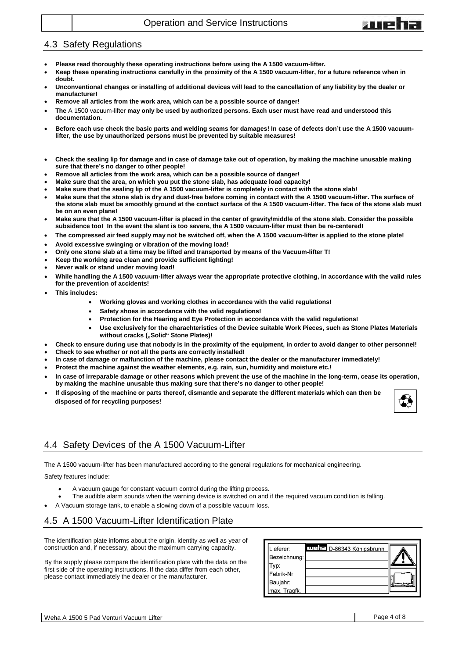

### <span id="page-3-0"></span>4.3 Safety Regulations

- **Please read thoroughly these operating instructions before using the A 1500 vacuum-lifter.**
- **Keep these operating instructions carefully in the proximity of the A 1500 vacuum-lifter, for a future reference when in doubt.**
- **Unconventional changes or installing of additional devices will lead to the cancellation of any liability by the dealer or manufacturer!**
- **Remove all articles from the work area, which can be a possible source of danger!**
- **The** A 1500 vacuum-lifter **may only be used by authorized persons. Each user must have read and understood this documentation.**
- **Before each use check the basic parts and welding seams for damages! In case of defects don't use the A 1500 vacuumlifter, the use by unauthorized persons must be prevented by suitable measures!**
- **Check the sealing lip for damage and in case of damage take out of operation, by making the machine unusable making sure that there's no danger to other people!**
- **Remove all articles from the work area, which can be a possible source of danger!**
- **Make sure that the area, on which you put the stone slab, has adequate load capacity!**
- **Make sure that the sealing lip of the A 1500 vacuum-lifter is completely in contact with the stone slab!**
- **Make sure that the stone slab is dry and dust-free before coming in contact with the A 1500 vacuum-lifter. The surface of the stone slab must be smoothly ground at the contact surface of the A 1500 vacuum-lifter. The face of the stone slab must be on an even plane!**
- **Make sure that the A 1500 vacuum-lifter is placed in the center of gravity/middle of the stone slab. Consider the possible subsidence too! In the event the slant is too severe, the A 1500 vacuum-lifter must then be re-centered!**
- **The compressed air feed supply may not be switched off, when the A 1500 vacuum-lifter is applied to the stone plate!**
- **Avoid excessive swinging or vibration of the moving load!**
- **Only one stone slab at a time may be lifted and transported by means of the Vacuum-lifter T!**
- **Keep the working area clean and provide sufficient lighting!**
- **Never walk or stand under moving load!**
- **While handling the A 1500 vacuum-lifter always wear the appropriate protective clothing, in accordance with the valid rules for the prevention of accidents!**
- **This includes:**
	- **Working gloves and working clothes in accordance with the valid regulations!**
		- **Safety shoes in accordance with the valid regulations!**
		- **Protection for the Hearing and Eye Protection in accordance with the valid regulations!**
		- **Use exclusively for the charachteristics of the Device suitable Work Pieces, such as Stone Plates Materials**  without cracks ("Solid" Stone Plates)!
- **Check to ensure during use that nobody is in the proximity of the equipment, in order to avoid danger to other personnel!**
	- **Check to see whether or not all the parts are correctly installed!**
- **In case of damage or malfunction of the machine, please contact the dealer or the manufacturer immediately!**
- **Protect the machine against the weather elements, e.g. rain, sun, humidity and moisture etc.!**
- **In case of irreparable damage or other reasons which prevent the use of the machine in the long-term, cease its operation, by making the machine unusable thus making sure that there's no danger to other people!**
- **If disposing of the machine or parts thereof, dismantle and separate the different materials which can then be disposed of for recycling purposes!**



### <span id="page-3-1"></span>4.4 Safety Devices of the A 1500 Vacuum-Lifter

The A 1500 vacuum-lifter has been manufactured according to the general regulations for mechanical engineering.

Safety features include:

- A vacuum gauge for constant vacuum control during the lifting process.
- The audible alarm sounds when the warning device is switched on and if the required vacuum condition is falling.
- A Vacuum storage tank, to enable a slowing down of a possible vacuum loss.

#### <span id="page-3-2"></span>4.5 A 1500 Vacuum-Lifter Identification Plate

The identification plate informs about the origin, identity as well as year of construction and, if necessary, about the maximum carrying capacity.

By the supply please compare the identification plate with the data on the first side of the operating instructions. If the data differ from each other, please contact immediately the dealer or the manufacturer.

| Lieferer:    | THE E. D-86343 Königsbrunn |  |
|--------------|----------------------------|--|
| Bezeichnung: |                            |  |
| Typ:         |                            |  |
| Fabrik-Nr.   |                            |  |
| Baujahr:     |                            |  |
| max. Tragfk. |                            |  |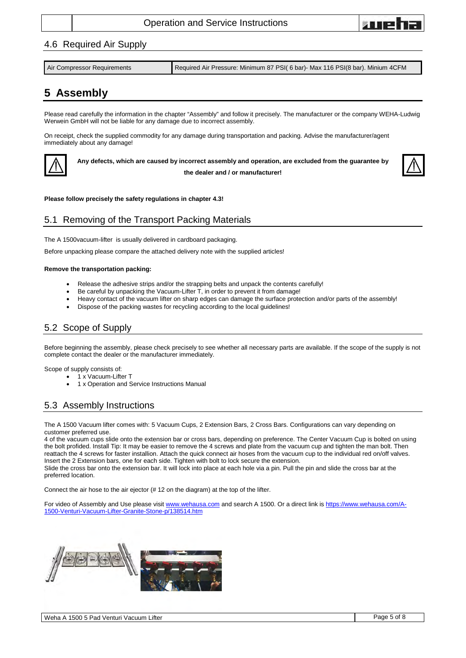

#### 4.6 Required Air Supply

| Required Air Pressure: Minimum 87 PSI (6 bar)- Max 116 PSI (8 bar). Minium 4CFM<br>Air Compressor Requirements |
|----------------------------------------------------------------------------------------------------------------|
|----------------------------------------------------------------------------------------------------------------|

## <span id="page-4-0"></span>**5 Assembly**

Please read carefully the information in the chapter "Assembly" and follow it precisely. The manufacturer or the company WEHA-Ludwig Werwein GmbH will not be liable for any damage due to incorrect assembly.

On receipt, check the supplied commodity for any damage during transportation and packing. Advise the manufacturer/agent immediately about any damage!



**Any defects, which are caused by incorrect assembly and operation, are excluded from the guarantee by the dealer and / or manufacturer!**



#### **Please follow precisely the safety regulations in chapter 4.3!**

### <span id="page-4-1"></span>5.1 Removing of the Transport Packing Materials

The A 1500vacuum-lifter is usually delivered in cardboard packaging.

Before unpacking please compare the attached delivery note with the supplied articles!

#### **Remove the transportation packing:**

- Release the adhesive strips and/or the strapping belts and unpack the contents carefully!
- Be careful by unpacking the Vacuum-Lifter T, in order to prevent it from damage!
- Heavy contact of the vacuum lifter on sharp edges can damage the surface protection and/or parts of the assembly!
- Dispose of the packing wastes for recycling according to the local guidelines!

### <span id="page-4-2"></span>5.2 Scope of Supply

Before beginning the assembly, please check precisely to see whether all necessary parts are available. If the scope of the supply is not complete contact the dealer or the manufacturer immediately.

Scope of supply consists of:

- 1 x Vacuum-Lifter T
	- 1 x Operation and Service Instructions Manual

### <span id="page-4-3"></span>5.3 Assembly Instructions

The A 1500 Vacuum lifter comes with: 5 Vacuum Cups, 2 Extension Bars, 2 Cross Bars. Configurations can vary depending on customer preferred use.

4 of the vacuum cups slide onto the extension bar or cross bars, depending on preference. The Center Vacuum Cup is bolted on using the bolt profided. Install Tip: It may be easier to remove the 4 screws and plate from the vacuum cup and tighten the man bolt. Then reattach the 4 screws for faster installion. Attach the quick connect air hoses from the vacuum cup to the individual red on/off valves. Insert the 2 Extension bars, one for each side. Tighten with bolt to lock secure the extension.

Slide the cross bar onto the extension bar. It will lock into place at each hole via a pin. Pull the pin and slide the cross bar at the preferred location.

Connect the air hose to the air ejector (# 12 on the diagram) at the top of the lifter.

For video of Assembly and Use please visit [www.wehausa.com](http://www.wehausa.com/) and search A 1500. Or a direct link i[s https://www.wehausa.com/A-](https://www.wehausa.com/A-1500-Venturi-Vacuum-Lifter-Granite-Stone-p/138514.htm)[1500-Venturi-Vacuum-Lifter-Granite-Stone-p/138514.htm](https://www.wehausa.com/A-1500-Venturi-Vacuum-Lifter-Granite-Stone-p/138514.htm)

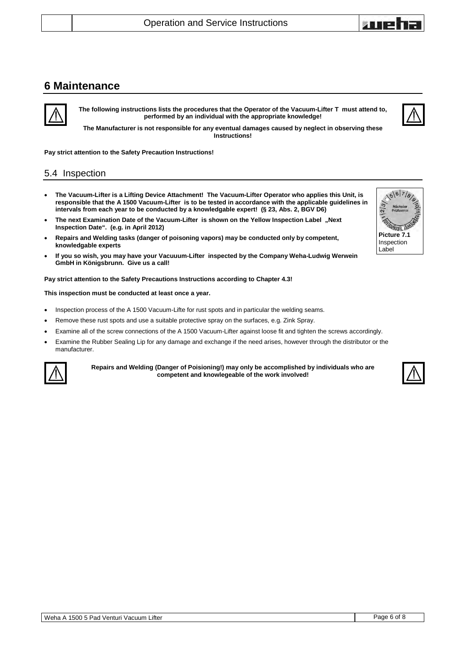### <span id="page-5-0"></span>**6 Maintenance**

**The following instructions lists the procedures that the Operator of the Vacuum-Lifter T must attend to, performed by an individual with the appropriate knowledge!**

**The Manufacturer is not responsible for any eventual damages caused by neglect in observing these Instructions!** 

**Pay strict attention to the Safety Precaution Instructions!**

### <span id="page-5-1"></span>5.4 Inspection

- **The Vacuum-Lifter is a Lifting Device Attachment! The Vacuum-Lifter Operator who applies this Unit, is responsible that the A 1500 Vacuum-Lifter is to be tested in accordance with the applicable guidelines in intervals from each year to be conducted by a knowledgable expert! (§ 23, Abs. 2, BGV D6)**
- **The next Examination Date of the Vacuum-Lifter is shown on the Yellow Inspection Label "Next Inspection Date". (e.g. in April 2012)**
- **Repairs and Welding tasks (danger of poisoning vapors) may be conducted only by competent, knowledgable experts**
- **If you so wish, you may have your Vacuuum-Lifter inspected by the Company Weha-Ludwig Werwein GmbH in Königsbrunn. Give us a call!**

**Pay strict attention to the Safety Precautions Instructions according to Chapter [4.3!](#page-3-0)** 

#### **This inspection must be conducted at least once a year.**

- Inspection process of the A 1500 Vacuum-Lifte for rust spots and in particular the welding seams.
- Remove these rust spots and use a suitable protective spray on the surfaces, e.g. Zink Spray.
- Examine all of the screw connections of the A 1500 Vacuum-Lifter against loose fit and tighten the screws accordingly.
- Examine the Rubber Sealing Lip for any damage and exchange if the need arises, however through the distributor or the manufacturer.



**Repairs and Welding (Danger of Poisioning!) may only be accomplished by individuals who are competent and knowlegeable of the work involved!**





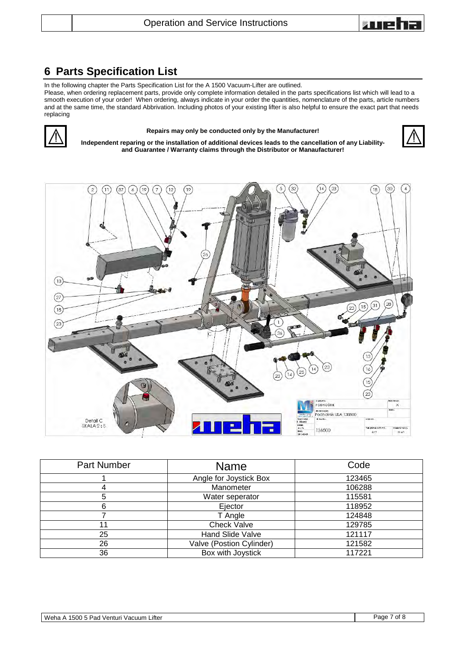

## <span id="page-6-0"></span>**6 Parts Specification List**

In the following chapter the Parts Specification List for the A 1500 Vacuum-Lifter are outlined.

Please, when ordering replacement parts, provide only complete information detailed in the parts specifications list which will lead to a smooth execution of your order! When ordering, always indicate in your order the quantities, nomenclature of the parts, article numbers and at the same time, the standard Abbrivation. Including photos of your existing lifter is also helpful to ensure the exact part that needs replacing



#### **Repairs may only be conducted only by the Manufacturer!**

**Independent reparing or the installation of additional devices leads to the cancellation of any Liabilityand Guarantee / Warranty claims through the Distributor or Manaufacturer!**





| <b>Part Number</b> | <b>Name</b>              | Code   |
|--------------------|--------------------------|--------|
|                    | Angle for Joystick Box   | 123465 |
| 4                  | Manometer                | 106288 |
| 5                  | Water seperator          | 115581 |
| 6                  | Ejector                  | 118952 |
|                    | T Angle                  | 124848 |
| 11                 | <b>Check Valve</b>       | 129785 |
| 25                 | Hand Slide Valve         | 121117 |
| 26                 | Valve (Postion Cylinder) | 121582 |
| 36                 | Box with Joystick        | 117221 |